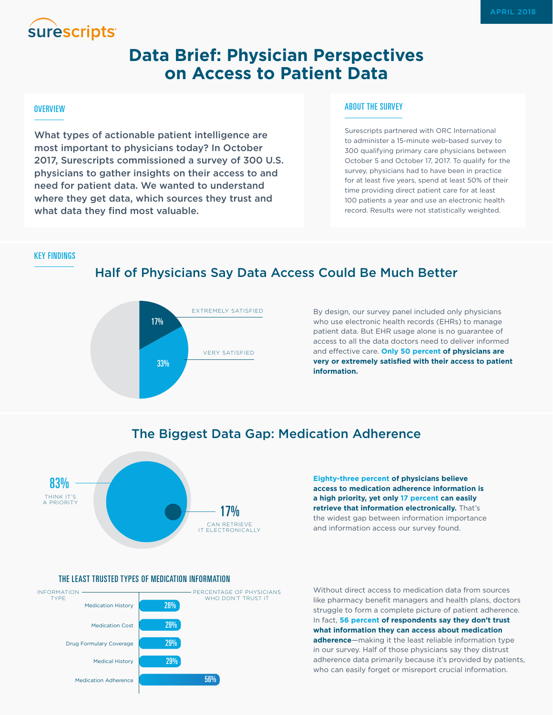# **surescripts**

## **Data Brief: Physician Perspectives on Access to Patient Data**

#### **OVERVIEW**

What types of actionable patient intelligence are most important to physicians today? In October 2017, Surescripts commissioned a survey of 300 U.S. physicians to gather insights on their access to and need for patient data. We wanted to understand where they get data, which sources they trust and what data they find most valuable.

#### ABOUT THE SURVEY

Surescripts partnered with ORC International to administer a 15-minute web-based survey to 300 qualifying primary care physicians between October 5 and October 17, 2017. To qualify for the survey, physicians had to have been in practice for at least five years, spend at least 50% of their time providing direct patient care for at least 100 patients a year and use an electronic health record. Results were not statistically weighted.

KEY FINDINGS

### Half of Physicians Say Data Access Could Be Much Better



By design, our survey panel included only physicians who use electronic health records (EHRs) to manage patient data. But EHR usage alone is no guarantee of access to all the data doctors need to deliver informed and effective care. **Only 50 percent of physicians are very or extremely satisfied with their access to patient information.**



The Biggest Data Gap: Medication Adherence

**Eighty-three percent of physicians believe access to medication adherence information is a high priority, yet only 17 percent can easily retrieve that information electronically.** That's the widest gap between information importance and information access our survey found.





Without direct access to medication data from sources like pharmacy benefit managers and health plans, doctors struggle to form a complete picture of patient adherence. In fact, **56 percent of respondents say they don't trust what information they can access about medication adherence**—making it the least reliable information type in our survey. Half of those physicians say they distrust adherence data primarily because it's provided by patients, who can easily forget or misreport crucial information.